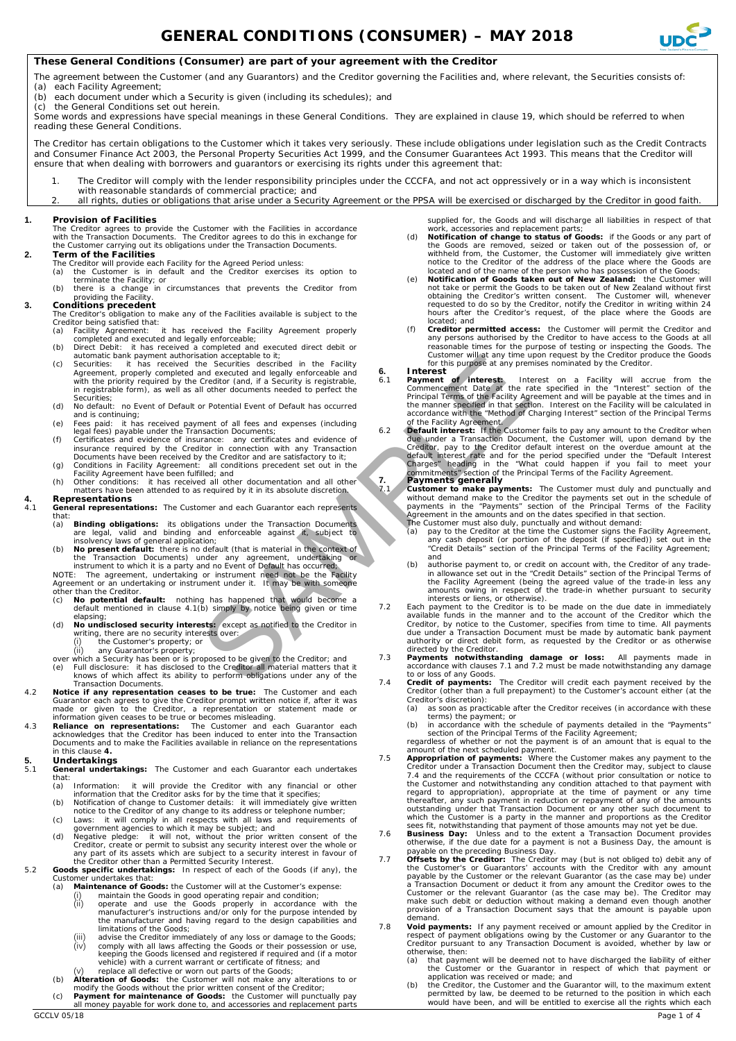

## **These General Conditions (Consumer) are part of your agreement with the Creditor**

The agreement between the Customer (and any Guarantors) and the Creditor governing the Facilities and, where relevant, the Securities consists of: (a) each Facility Agreement;

- 
- (b) each document under which a Security is given (including its schedules); and  $(c)$  the General Conditions set out berein
- the General Conditions set out herein.

Some words and expressions have special meanings in these General Conditions. They are explained in clause [19,](#page-3-0) which should be referred to when reading these General Conditions.

The Creditor has certain obligations to the Customer which it takes very seriously. These include obligations under legislation such as the Credit Contracts and Consumer Finance Act 2003, the Personal Property Securities Act 1999, and the Consumer Guarantees Act 1993. This means that the Creditor will ensure that when dealing with borrowers and guarantors or exercising its rights under this agreement that:

- 1. The Creditor will comply with the lender responsibility principles under the CCCFA, and not act oppressively or in a way which is inconsistent with reasonable standards of commercial practice; and
- 2. all rights, duties or obligations that arise under a Security Agreement or the PPSA will be exercised or discharged by the Creditor in good faith.

### **1. Provision of Facilities**

The Creditor agrees to provide the Customer with the Facilities in accordance with the Transaction Documents. The Creditor agrees to do this in exchange for the Customer carrying out its obligations under the Transaction Documents.

- **2. Term of the Facilities**
	- The Creditor will provide each Facility for the Agreed Period unless: (a) the Customer is in default and the Creditor exercises its option to
		- terminate the Facility; or (b) there is a change in circumstances that prevents the Creditor from roviding the Facility

- **3. Conditions precedent** The Creditor's obligation to make any of the Facilities available is subject to the Creditor being satisfied that:
	- (a) Facility Agreement: it has received the Facility Agreement properly completed and executed and legally enforceable; (b) Direct Debit: it has received a completed and executed direct debit or
	-
	- automatic bank payment authorisation acceptable to it; (c) Securities: it has received the Securities described in the Facility Agreement, properly completed and executed and legally enforceable and with the priority required by the Creditor (and, if a Security is registrable, in registrable form), as well as all other documents needed to perfect the Securities;
	- (d) No default: no Event of Default or Potential Event of Default has occurred and is continuing;
	- (e) Fees paid: it has received payment of all fees and expenses (including
	- legal fees) payable under the Transaction Documents;<br>
	(f) Certificates and evidence of insurance required by the Creditor in connection with any Transaction<br>
	Documents have been received by the Creditor and are satisfactor
	-
	- matters have been attended to as required by it in its absolute discretion. **4. Representations**
- <span id="page-0-1"></span><span id="page-0-0"></span>4.1 **General representations:** The Customer and each Guarantor each represents that:
	- (a) **Binding obligations:** its obligations under the Transaction Documents are legal, valid and binding and enforceable against it, subject to insolvency laws of general application;
	- (b) **No present default:** there is no default (that is material in the context of

the Transaction Documents) under any agreement, undertaking or<br>instrument to which it is a party and no Event of Default has occurred,<br>NOTE: The agreement, undertaking or instrument need not be the Facility<br>Agreement or an other than the Creditor<br>(c) **No potential d** 

- (c) **No potential default:** nothing has happened that would become a default mentioned in clause [4.1\(](#page-0-0)b) simply by notice being given or time elapsing;
- (d) **No undisclosed security interests:** except as notified to the Creditor in writing, there are no security interests over: (i) the Customer's property; or
	-
- (ii) any Guarantor's property; over which a Security has been or is proposed to be given to the Creditor; and
- (e) Full disclosure: it has disclosed to the Creditor all material matters that it knows of which affect its ability to perform obligations under any of the Transaction Documents.
- **Notice if any representation ceases to be true:** The Customer and each Guarantor each agrees to give the Creditor prompt written notice if, after it was made or given to the Creditor, a representation or statement made or
	- acknowledges that the Creditor has been induced to enter into the Transaction Documents and to make the Facilities available in reliance on the representations in this clause **[4.](#page-0-1)**

## <span id="page-0-6"></span>**5. Undertakings**

- General undertakings: The Customer and each Guarantor each undertakes that:
	- (a) Information: it will provide the Creditor with any financial or other information that the Creditor asks for by the time that it specifies;
	- (b) Notification of change to Customer details: it will immediately give written<br>notice to the Creditor of any change to its address or telephone number;<br>(c) Laws: it will comply in all respects with all laws and requireme
- government agencies to which it may be subject; and (d) Negative pledge: it will not, without the prior written consent of the Creditor, create or permit to subsist any security interest over the whole or<br>any part of its assets which are subject to a security interest in favour of<br>the Creditor other than a Permitted Security Interest.<br>5.2 **Goods s**

- Customer undertakes that:<br>(a) Maintenance of Good Maintenance of Goods: the Customer will at the Customer's expense
	- (i) maintain the Goods in good operating repair and condition;<br>(ii) operate and use the Goods properly in accordance
		- (ii) operate and use the Goods properly in accordance with the manufacturer's instructions and/or only for the purpose intended by the manufacturer and having regard to the design capabilities and
		- limitations of the Goods; (iii) advise the Creditor immediately of any loss or damage to the Goods; (iv) comply with all laws affecting the Goods or their possession or use, keeping the Goods licensed and registered if required and (if a motor vehicle) with a current warrant or certificate of fitness; and (v) replace all defective or worn out parts of the Goods;
	-
- (b) **Alteration of Goods:** the Customer will not make any alterations to or<br>modify the Goods without the prior written consent of the Creditor;<br>(c) **Payment for maintenance of Goods:** the Customer will punctually pay
- all money payable for work done to, and accessories and replacement parts

supplied for, the Goods and will discharge all liabilities in respect of that work, accessories and replacement parts;

- (d) **Notification of change to status of Goods**: if the Goods or any part of<br>the Goods are removed, seized or taken out of the possesion of, or<br>withheld from, the Customer, the Customer will immediately give writtem<br>notic
- not take or permit the Goods to be taken out of New Zealand without first<br>obtaining the Creditor's written consent. The Customer will, whenever<br>requested to do so by the Creditor, notify the Creditor in writing within 24<br>h
- located; and (f) **Creditor permitted access:** the Customer will permit the Creditor and any persons authorised by the Creditor to have access to the Goods at all<br>reasonable times for the purpose of testing or inspecting the Goods. The<br>Customer will at any time upon request by the Creditor produce the Goods<br>fo

6. **Interest** on a Facility will accrue from the Commencement Date at the rate specified in the "Interest" section of the Principal Terms of the Facility Agreement and will be payable at the times and in the manner specifi

of the Facility Agreement.<br>6.2 **Default interest:** If the Customer fails to pay any amount to the Creditor when due under a Transaction Document, the Customer will, upon demand by the Creditor, pay to the Creditor default interest on the overdue amount at the default interest rate and for the period specified under the "Default Inte ation acceptable to it; the customer with any time of the customer of the customer of the customer of the customer of the customer of the customer of the customer of the customer of the customer and except as and experimen

<span id="page-0-2"></span>7.1 **Payments generally**<br>
17.1 **Customer monke payments:** The Customer must duly and punctually and<br>
without demand make to the Creditor the payments set out in the schedule of<br>
payments in the "Payments" section of the Pr

- 
- (b) authorise payment to, or credit on account with, the Creditor of any trade-in allowance set out in the "Credit Details" section of the Principal Terms of the Facility Agreement (being the agreed value of the trade-in less any amounts owing in respect of the trade-in whether pursuant to security
- <span id="page-0-3"></span>interests or liens, or otherwise).<br>7.2 Each payment to the Creditor is to be made on the due date in immediately<br>available funds in the manner and to the account of the Creditor which the Creditor, by notice to the Customer, specifies from time to time. All payments due under a Transaction Document must be made by automatic bank payment authority or direct debit form, as requested by the Creditor or as otherwise directed by the Creditor.
- 7.3 **Payments notwithstanding damage or loss:** All payments made in accordance with clauses 7.1 and [7.2](#page-0-3) must be made notwithstanding any damage
- <span id="page-0-4"></span>to or loss of any Goods.<br>7.4 **Credit of payments:** The Creditor will credit each payment received by the<br>Creditor (other than a full prepayment) to the Customer's account either (at the Creditor's discretion):
	- (a) as soon as practicable after the Creditor receives (in accordance with these
	- terms) the payment; or (b) in accordance with the schedule of payments detailed in the "Payments" section of the Principal Terms of the Facility Agreement;

regardless of whether or not the payment is of an amount that is equal to the amount of the next scheduled payment.

- 7.5 **Appropriation of payments:** Where the Customer makes any payment to the Creditor under a Transaction Document then the Creditor may, subject to clause [7.4](#page-0-4) and the requirements of the CCCFA (without prior consultation the Customer and notwithstanding any condition attached to that payment with regard to appropriation), appropriate at the time of payment or any time
- 
- regard to appropriation), appropriate at the time of payment or any time<br>thereafter, any such payment in reduction or repayment of any of the amounts<br>outstanding under that Transaction Document or any other such document t make such debit or deduction without making a demand even though another provision of a Transaction Document says that the amount is payable upon demand.
- <span id="page-0-5"></span>7.8 **Void payments:** If any payment received or amount applied by the Creditor in respect of payment obligations owing by the Customer or any Guarantor to the Creditor pursuant to any Transaction Document is avoided, whether by law or otherwise, then:<br>(a) that payme
	- (a) that payment will be deemed not to have discharged the liability of either the Customer or the Guarantor in respect of which that payment or
	- application was received or made; and (b) the Creditor, the Customer and the Guarantor will, to the maximum extent permitted by law, be deemed to be returned to the position in which each would have been, and will be entitled to exercise all the rights which each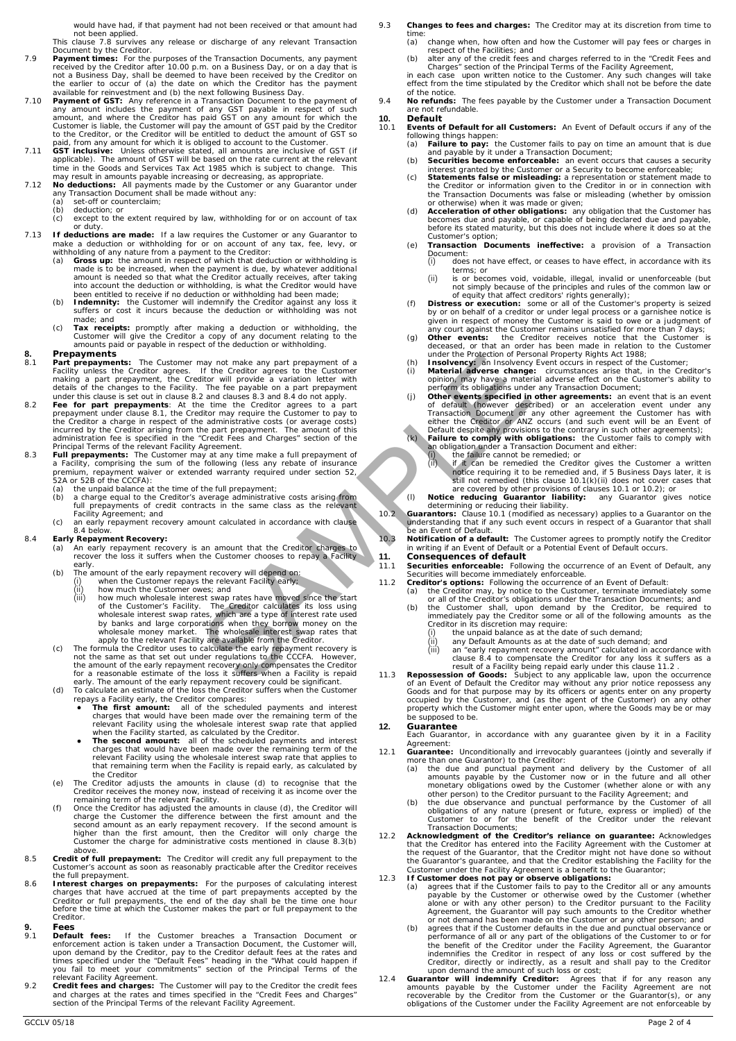would have had, if that payment had not been received or that amount had

not been applied. This clause [7.8](#page-0-5) survives any release or discharge of any relevant Transaction Document by the Creditor.

- 7.9 **Payment times:** For the purposes of the Transaction Documents, any payment received by the Creditor after 10.00 p.m. on a Business Day, or on a day that is<br>not a Business Day, shall be deemed to have been received by the Creditor on<br>the earlier to occur of (a) the date on which the Creditor has t
- available for reinvestment and (b) the next following Business Day.<br>The **Payment of GST:** Any reference in a Transaction Document to the payment of **any amount includes** the payment of any GST payable in respect of such am
- 7.11 **GST inclusive:** Unless otherwise stated, all amounts are inclusive of GST (if applicable). The amount of GST will be based on the rate current at the relevant time in the levant of me in the latter and tervices Tax A
- may result in amounts payable increasing or decreasing, as appropriate. 7.12 **No deductions:** All payments made by the Customer or any Guarantor under any Transaction Document shall be made without any:
	- (a) set-off or counterclaim;<br>(b) deduction: or
	-
	- (b) deduction; or (c) except to the extent required by law, withholding for or on account of tax or duty.
- 7.13 **If deductions are made:** If a law requires the Customer or any Guarantor to make a deduction or withholding for or on account of any tax, fee, levy, or withholding of any nature from a payment to the Creditor:<br>(a)
	- made is to be increased, when the payment is due, by whatever additional<br>amount is needed so that what the Creditor actually receives, after taking<br>into account the deduction or withholding, is what the Creditor would have
	- suffers or cost it incurs because the deduction or withholding was not made; and
	- (c) **Tax receipts:** promptly after making a deduction or withholding, the Customer will give the Creditor a copy of any document relating to the amounts paid or payable in respect of the deduction or withholding.

- **8. Prepayments:** The Customer may not make any part prepayment of a<br>Facility unless the Creditor agrees. If the Creditor agrees to the Customer<br>making a part prepayment, the Creditor will provide a variation letter with<br>d
- <span id="page-1-0"></span>**Presidents the Friedrich Control and The Counter any of the control and the Principal Control and the matter and the control and the control and the control and the control and the control and the control and the control**
- the Creditor a charge in respect of the administrative costs (or average costs)<br>incurred by the Creditor arising from the part prepayment. The amount of this<br>administration fee is specified in the "Credit Fees and Charges"
	-
	- (a) the unpaid balance at the time of the full prepayment;<br>(b) a charge equal to the Creditor's average administrative costs arising from<br>full prepayments of credit contracts in the same class as the relevant<br>Facility Agre
	- (c) an early repayment recovery amount calculated in accordance with clause [8.4](#page-1-1) below.

- <span id="page-1-2"></span><span id="page-1-1"></span>8.4 **Early Repayment Recovery:**<br>(a) An early repayment recovery is an amount that the Creditor charges to<br>recover the loss it suffers when the Customer chooses to repay a Facility early. (b) The amount of the early repayment recovery will depend on:
	- -
		- (i) when the Customer repays the relevant Facility early<br>
		(ii) how much the Customer owes; and<br>
		(iii) how much wholesale interest swap rates have move
	-
	- early. The amount of the early repayment recovery could be significant. (d) To calculate an estimate of the loss the Creditor suffers when the Customer
		- **The first amount:** all of the Sceditor compares:<br>
		 The first amount: all of the scheduled payments and interest<br>
		charges that would have been made over the remaining term of the<br>
		relevant Facility using the wholesale i
		- the Creditor
	- (e) The Creditor adjusts the amounts in clause (d) to recognise that the Creditor receives the money now, instead of receiving it as income over the
	- remaining term of the relevant Facility. (f) Once the Creditor has adjusted the amounts in clause (d), the Creditor will charge the Customer the difference between the first amount and the second amount as an early repayment recovery. If the second amount is higher than the first amount, then the Creditor will only charge the Customer the ch
- 8.5 **Credit of full prepayment:** The Creditor will credit any full prepayment to the Customer's account as soon as reasonably practicable after the Creditor receives the full prepayment.
- 8.6 **Interest charges on prepayments:** For the purposes of calculating interest charges that have accrued at the time of part prepayments accepted by the Creditor or full prepayments, the end of the day shall be the time one hour before the time at which the Customer makes the part or full prepayment to the Creditor.<br>Fees

- <span id="page-1-8"></span>**9.1 Default fees:** If the Customer breaches a Transaction Document or enforcement action is taken under a Transaction Document, the Customer will, upon demand by the Creditor, pay to the Creditor default fees at the rate
- <span id="page-1-7"></span>
- 9.3 **Changes to fees and charges:** The Creditor may at its discretion from time to time
	- (a) change when, how often and how the Customer will pay fees or charges in respect of the Facilities: and
	- (b) alter any of the credit fees and charges referred to in the "Credit Fees and Charges" section of the Principal Terms of the Facility Agreement,<br>in each case upon written notice to the Customer. Any such changes will take<br>effect from the time stipulated by the Creditor which shall not be before the
- of the notice. 9.4 **No refunds:** The fees payable by the Customer under a Transaction Document are not refundable.

# <span id="page-1-9"></span>**10. Default**

- <span id="page-1-3"></span>10.1 **Events of Default for all Customers:** An Event of Default occurs if any of the following things happen:
	- (a) **Failure to pay:** the Customer fails to pay on time an amount that is due<br>and payable by it under a Transaction Document;<br>(b) **Securities become enforceable:** an event occurs that causes a security
	-
	- interest granted by the Customer or a Security to become enforceable;<br>(c) **Statements false or misleading:** a representation or statement made to<br>the Creditor or info**rmation given** to the Creditor in or in connection with
	- or otherwise) when it was made or given;<br>
	(d) **Acceleration of other obligations:** any obligation that the Customer has<br>
	becomes due and payable, or capable of being declared due and payable,<br>
	before its stated maturity, b
	- (e) **Transaction Documents ineffective:** a provision of a Transaction Document:<br>(i) does from.<br>does not have effect, or ceases to have effect, in accordance with its
		-
		- terms; or (ii) is or becomes void, voidable, illegal, invalid or unenforceable (but not simply because of the principles and rules of the common law or of equity that affect creditors' rights generally);
	- (f) **Distress or execution:** some or all of the Customer's property is seized<br>by or on behalf of a creditor or under legal process or a garnishee notice is<br>given in respect of money the Customer is said to owe or a judgme
	-
	-
	- (h) **Insolvency:** an Insolvency Event occurs in respect of the Customer;<br>(i) **Material adverse change:** circumstances arise that, in the Creditor's<br>opinion, may have a material adverse effect on the Customer's ability to<br>p
	- (j) Other events specified in other agreements: an event that is an event of default (however described) or an acceleration event under any Transaction Document or any other agreement the Customer has with either the Cred
	- -
- <span id="page-1-4"></span>(ii) If it can be remedied the Creditor gives the Customer a written<br>notice requiring it to be remedied and, if 5 Business Days later, it is<br>still not remedied (this clause [10.1\(k\)](#page-1-3)(li) does not cover cases that<br>are covere
	-
	- understanding that if any such event occurs in respect of a Guarantor that shall be an Event of Default.

<span id="page-1-5"></span>10.3 **Notification of a default:** The Customer agrees to promptly notify the Creditor in writing if an Event of Default or a Potential Event of Default occurs.

# **11. Consequences of default**<br>**11.1 Securities enforceable:** Follow

- **Securities enforceable:** Following the occurrence of an Event of Default, any Securities will become immediately enforceable.<br> **Securities will become immediately enforceable.**<br> **Creditor's options:** Following the occurrence of an Event of Default.
	-
	-
	- -
		-
- 11.2 **Creditor's options:** Following the occurrence of an Event of Default:<br>
(a) the Creditor may, by notice to the Customer, terminate immediately some or all of the Creditor's obligations under the Transaction Documents **12. Guarantee**

Each Guarantor, in accordance with any guarantee given by it in a Facility Agreement:

- 12.1 **Guarantee:** Unconditionally and irrevocably guarantees (jointly and severally if more than one Guarantor) to the Creditor:
	- (a) the due and punctual payment and delivery by the Customer of all amounts payable by the customer now or in the future and all other monetary obligations owed by the Customer (whether alone or with any other person) to the Creditor pursuant to the Facility Agreement; and
	- (b) the due observance and punctual performance by the Customer of all obligations of any nature (present or future, express or implied) of the Customer to or for the benefit of the Creditor under the relevant Transaction
- 12.2 **Acknowledgment of the Creditor's reliance on guarantee:** Acknowledges<br>that the Creditor has entered into the Facility Agreement with the Customer at<br>the request of the Guarantor, that the Creditor might not have done
- -
	- (b) agrees that if the Customer defaults in the due and punctual observance or performance of all or any part of the obligations of the Customer to or for
- <span id="page-1-6"></span>the benefit of the Creditor under the Facility Agreement, the Guarantor<br>indemnifies the Creditor in respect of any loos or cost suffered by the<br>Creditor, directly or indirectly, as a result and shall pay to the Creditor<br>up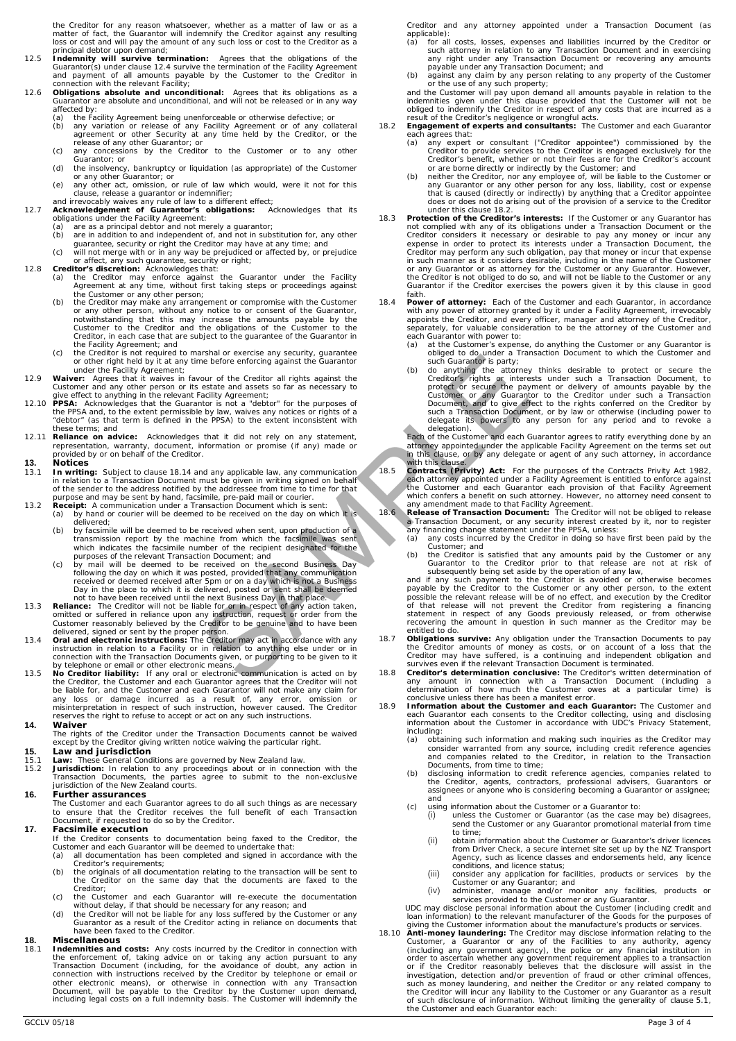the Creditor for any reason whatsoever, whether as a matter of law or as a matter of fact, the Guarantor will indemnify the Creditor against any resulting loss or cost and will pay the amount of any such loss or cost to the Creditor as a principal debtor upon demand;

- 12.5 **Indemnity will survive termination:** Agrees that the obligations of the Guarantor(s) under claus[e 12.4](#page-1-6) survive the termination of the Facility Agreement and payment of all amounts payable by the Customer to the Creditor in connection with the relevant Facility;
- 12.6 **Obligations absolute and unconditional:** Agrees that its obligations as a Guarantor are absolute and unconditional, and will not be released or in any way affected by:
	- (a) the Facility Agreement being unenforceable or otherwise defective; or (b) any variation or release of any Facility Agreement or of any col
	- (b) any variation or release of any Facility Agreement or of any collateral agreement or other Security at any time held by the Creditor, or the release of any other Guarantor; or
	- (c) any concessions by the Creditor to the Customer or to any other Guarantor; or
	- (d) the insolvency, bankruptcy or liquidation (as appropriate) of the Customer or any other Guarantor; or
	-
	- -
		-
		-
- 
- (e) any other act, omission, or rule of law which would, were it not for this<br>caluse, release a guarantor or indeminifer;<br>and irrevocably waives any rule of law to a different effect;<br>**Acknowledgement of Guarantor's obliga** 
	- notwithstanding that this may increase the amounts payable by the<br>Customer to the Creditor and the obligations of the Customer to the<br>Creditor, in each case that are subject to the guarantee of the Guarantor in
	- the Facility Agreement; and (c) the Creditor is not required to marshal or exercise any security, guarantee or other right held by it at any time before enforcing against the Guarantor
- under the Facility Agreement;<br>12.9 **Waiver:** Agrees that it waives in favour of the Creditor all rights against the<br>Customer and any other person or its estate and assets so far as necessary to<br>give effect to anything in t
- the PPSA and, to the extent permissible by law, waives any notices or rights of a "debtor" (as that term is defined in the PPSA) to the extent inconsistent with these terms; and
- 12.11 **Reliance on advice:** Acknowledges that it did not rely on any statement, representation, warranty, document, information or promise (if any) made or provided by or on behalf of the Creditor.

# **13. Notices**

- 13.1 **In writing:** Subject to claus[e 18.14](#page-3-1) and any applicable law, any communication in relation to a Transaction Document must be given in writing signed on behalf<br>of the sender to the address notified by the addressee from time to time for that<br>purpose and may be sent by hand, facsimile, pre-paid mail or
- -
- (a) by hand or courier will be deemed to be received on the day on which it is<br>delivered; (b) by facsimile will be deemed to be received when sent, upon production of a<br>transmission report by the machine from which the fac
- 
- 13.5 **No Creditor liability:** If any oral or electronic communication is acted on by telephone or email or other electronic means.<br>13.5 **No Creditor liability:** If any oral or electronic communication is acted on by
- the Creditor, the Customer and each Guarantor agrees that the Creditor will not<br>be liable for, and the Customer and each Guarantor will not make any claim for<br>any loss or damage incurred as a result of, any error, omission reserves the right to refuse to accept or act on any such instructions.
- **14. Waiver**
	- The rights of the Creditor under the Transaction Documents cannot be waived except by the Creditor giving written notice waiving the particular right.
- 
- **15. Law and jurisdiction**<br>15.1 Law: These General Conditions are governed by New Zealand law.
- 15.2 **Jurisdiction:** In relation to any proceedings about or in connection with the Transaction Documents, the parties agree to submit to the non-exclusive jurisdiction of the New Zealand courts.

### **16. Further assurances**

The Customer and each Guarantor agrees to do all such things as are necessary to ensure that the Creditor receives the full benefit of each Transaction Document, if requested to do so by the Creditor.

### **17. Facsimile execution**

- If the Creditor consents to documentation being faxed to the Creditor, the Customer and each Guarantor will be deemed to undertake that: (a) all documentation has been completed and signed in accordance with the Creditor's requirements;
- (b) the originals of all documentation relating to the transaction will be sent to Creditor on the same day that the documents are faxed to the **Creditor**
- 
- (c) the Customer and each Guarantor will re-execute the documentation without delay, if that should be necessary for any reason; and (d) the Creditor will not be liable for any loss suffered by the Customer or any Guaranto

## **18. Miscellaneous**

18.1 **Indemnities and costs:** Any costs incurred by the Creditor in connection with the enforcement of, taking advice on or taking any action pursuant to any Transaction Document (including, for the avoidance of doubt, any

Creditor and any attorney appointed under a Transaction Document (as

- applicable): (a) for all costs, losses, expenses and liabilities incurred by the Creditor or such attorney in relation to any Transaction Document and in exercising any right under any Transaction Document or recovering any amounts
- payable under any Transaction Document; and (b) against any claim by any person relating to any property of the Customer or the use of any such property;
- and the Customer will pay upon demand all amounts payable in relation to the indemnities given under this clause provided that the Customer will not be obliged to indemnify the Creditor in respect of any costs that are inc
- <span id="page-2-0"></span>
- 18.2 **Engagement of experts and consultants:** The Customer and each Guarantor each agrees that:<br>
(a) any expert or consultant ("Creditor appointee") commissioned by the Creditor to provide services to the Creditor is engag
	- that is caused (directly or indirectly) by anything that a Creditor appointee does or does not do arising out of the provision of a service to the Creditor under this clause [18.2.](#page-2-0)
- 18.3 **Protection of the Creditor's interests:** If the Customer or any Guarantor has not complied with any of its obligations under a Transaction Document or the Creditor considers it necessary or desirable to pay any money or incur any expense in order to protect its interests under a Transaction Document
- 18.4 **Power of attorney:** Each of the Customer and each Guarantor, in accordance with any power of attorney granted by it under a Facility Agreement, irrevocably appoints the Creditor, and every officer, manager and attorney of the Creditor, separately, for valuable consideration to be the attorney of the Customer and each Guarantor with power to:
	- (a) at the Customer's expense, do anything the Customer or any Guarantor is obliged to do under a Transaction Document to which the Customer and such Guarantor is party;
- (b) do anything the attorney thinks desirable to protect or secure the Creditor's rights or interests under such a Transaction Document, to protect or secure the payment or delivery of amounts payable by the Customer or an and any applicable law, any communication<br>
outed the content of the Creditor and rights against the Guarantor<br>
set and center of the content of the animals of the animals of the set and against the Content of the affectiv

delegation).<br>
of the Customer and each Guarantor agrees to ratify everything done by an attorney appointed under the applicable Facility Agreement on the terms set out in this clause, or by any delegate or agent of any such attorney, in accordance

with this clause.<br>
18.5 **Contracts Privity) Act:** For the purposes of the Contracts Privity Act 1982,<br> **each attorney appointed under a Facility Agreement** is entitled to enforce against<br>
the Customer and each Guarantor ea

- 
- 
- 

Customer; and<br>
(b) the Creditor is satisfied that any amounts paid by the Customer or any<br>
the Creditor is satisfied that any amounts paid by the Customer or any<br>
Guarantor to the Creditor prior to that release are not at

- 18.7 **Obligations survive:** Any obligation under the Transaction Documents to pay the Creditor amounts of money as costs, or on account of a loss that the Creditor may have suffered, is a continuing and independent obligation and survives even if the relevant Transaction Document is terminated.
- 18.8 **Creditor's determination conclusive:** The Creditor's written determination of any amount in connection with a Transaction Document (including a determination of how much the Customer owes at a particular time) is conclusive unless there has been a manifest error.
- 18.9 Information about the Customer and each Guarantor: The Customer and each Guarantor: The Customer and each outlet in the Customer in accordance with UDC's Privacy Statement, information about the Customer in accordance
	- including:<br>
	(a) obtaining such information and making such inquiries as the Creditor may<br>
	consider warranted from any source, including credit reference agencies<br>
	and companies related to the Creditor, in relation to the T
	- (b) disclosing information to credit reference agencies, companies related to the Creditor, agents, contractors, professional advisers, Guarantors or assignees or anyone who is considering becoming a Guarantor or assignee; and
	-
	- (c) using information about the Customer or a Guarantor to: (i) unless the Customer or Guarantor (as the case may be) disagrees, send the Customer or any Guarantor promotional material from time to time;
		- (ii) obtain information about the Customer or Guarantor's driver licences from Driver Check, a secure internet site set up by the NZ Transport Agency, such as licence classes and endorsements held, any licence
		- conditions, and licence status; (iii) consider any application for facilities, products or services by the Customer or any Guarantor; and (iv) administer, manage and/or monitor any facilities, products or
		-
	- services provided to the Customer or any Guarantor. UDC may disclose personal information about the Customer (including credit and
- loan information) to the relevant manufacturer of the Goods for the purposes of<br>
giving the Customer information about the manufacture's products or services.<br>
18.10 **Anti-money laundering**: The Creditor may disclose infor